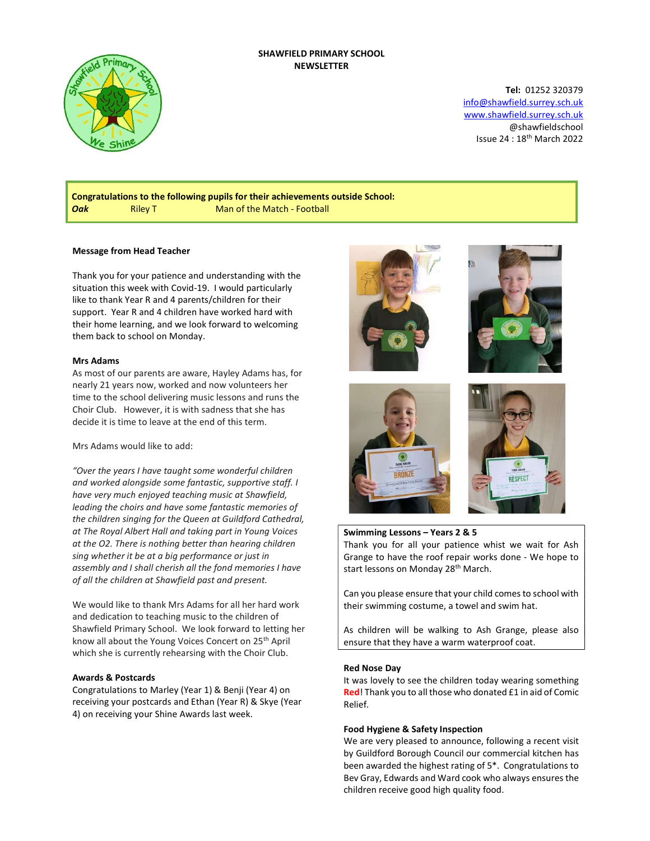## SHAWFIELD PRIMARY SCHOOL NEWSLETTER



Tel: 01252 320379 info@shawfield.surrey.sch.uk www.shawfield.surrey.sch.uk @shawfieldschool Issue 24 : 18th March 2022

Congratulations to the following pupils for their achievements outside School: **Oak** Riley T Man of the Match - Football

## Message from Head Teacher

Thank you for your patience and understanding with the situation this week with Covid-19. I would particularly like to thank Year R and 4 parents/children for their support. Year R and 4 children have worked hard with their home learning, and we look forward to welcoming them back to school on Monday.

#### Mrs Adams

As most of our parents are aware, Hayley Adams has, for nearly 21 years now, worked and now volunteers her time to the school delivering music lessons and runs the Choir Club. However, it is with sadness that she has decide it is time to leave at the end of this term.

Mrs Adams would like to add:

"Over the years I have taught some wonderful children and worked alongside some fantastic, supportive staff. I have very much enjoyed teaching music at Shawfield, leading the choirs and have some fantastic memories of the children singing for the Queen at Guildford Cathedral, at The Royal Albert Hall and taking part in Young Voices at the O2. There is nothing better than hearing children sing whether it be at a big performance or just in assembly and I shall cherish all the fond memories I have of all the children at Shawfield past and present.

We would like to thank Mrs Adams for all her hard work and dedication to teaching music to the children of Shawfield Primary School. We look forward to letting her know all about the Young Voices Concert on 25th April which she is currently rehearsing with the Choir Club.

## Awards & Postcards

Congratulations to Marley (Year 1) & Benji (Year 4) on receiving your postcards and Ethan (Year R) & Skye (Year 4) on receiving your Shine Awards last week.









#### Swimming Lessons – Years 2 & 5

Thank you for all your patience whist we wait for Ash Grange to have the roof repair works done - We hope to start lessons on Monday 28<sup>th</sup> March.

Can you please ensure that your child comes to school with their swimming costume, a towel and swim hat.

As children will be walking to Ash Grange, please also ensure that they have a warm waterproof coat.

#### Red Nose Day

It was lovely to see the children today wearing something Red! Thank you to all those who donated £1 in aid of Comic Relief.

## Food Hygiene & Safety Inspection

We are very pleased to announce, following a recent visit by Guildford Borough Council our commercial kitchen has been awarded the highest rating of 5\*. Congratulations to Bev Gray, Edwards and Ward cook who always ensures the children receive good high quality food.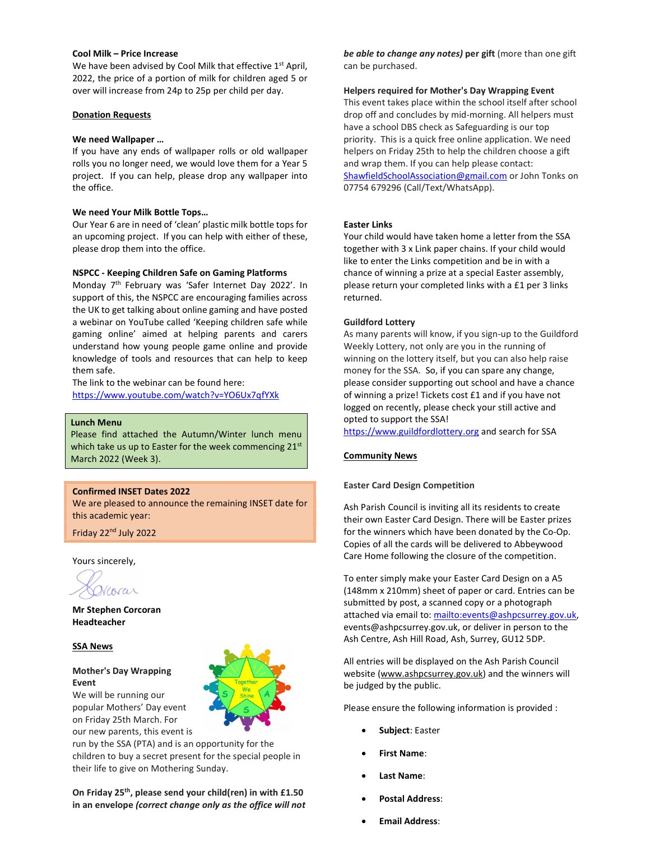#### Cool Milk – Price Increase

We have been advised by Cool Milk that effective 1<sup>st</sup> April, 2022, the price of a portion of milk for children aged 5 or over will increase from 24p to 25p per child per day.

#### Donation Requests

#### We need Wallpaper …

If you have any ends of wallpaper rolls or old wallpaper rolls you no longer need, we would love them for a Year 5 project. If you can help, please drop any wallpaper into the office.

## We need Your Milk Bottle Tops…

Our Year 6 are in need of 'clean' plastic milk bottle tops for an upcoming project. If you can help with either of these, please drop them into the office.

## NSPCC - Keeping Children Safe on Gaming Platforms

Monday 7th February was 'Safer Internet Day 2022'. In support of this, the NSPCC are encouraging families across the UK to get talking about online gaming and have posted a webinar on YouTube called 'Keeping children safe while gaming online' aimed at helping parents and carers understand how young people game online and provide knowledge of tools and resources that can help to keep them safe.

The link to the webinar can be found here: https://www.youtube.com/watch?v=YO6Ux7qfYXk

#### Lunch Menu

Please find attached the Autumn/Winter lunch menu which take us up to Easter for the week commencing 21st March 2022 (Week 3).

# Confirmed INSET Dates 2022

We are pleased to announce the remaining INSET date for this academic year:

Friday 22nd July 2022

Yours sincerely,

corar

Mr Stephen Corcoran Headteacher

# SSA News

# Mother's Day Wrapping Event

We will be running our popular Mothers' Day event on Friday 25th March. For our new parents, this event is



run by the SSA (PTA) and is an opportunity for the children to buy a secret present for the special people in their life to give on Mothering Sunday.

On Friday 25<sup>th</sup>, please send your child(ren) in with £1.50 in an envelope (correct change only as the office will not

be able to change any notes) per gift (more than one gift can be purchased.

#### Helpers required for Mother's Day Wrapping Event

This event takes place within the school itself after school drop off and concludes by mid-morning. All helpers must have a school DBS check as Safeguarding is our top priority. This is a quick free online application. We need helpers on Friday 25th to help the children choose a gift and wrap them. If you can help please contact: ShawfieldSchoolAssociation@gmail.com or John Tonks on 07754 679296 (Call/Text/WhatsApp).

## Easter Links

Your child would have taken home a letter from the SSA together with 3 x Link paper chains. If your child would like to enter the Links competition and be in with a chance of winning a prize at a special Easter assembly, please return your completed links with a £1 per 3 links returned.

# Guildford Lottery

As many parents will know, if you sign-up to the Guildford Weekly Lottery, not only are you in the running of winning on the lottery itself, but you can also help raise money for the SSA. So, if you can spare any change, please consider supporting out school and have a chance of winning a prize! Tickets cost £1 and if you have not logged on recently, please check your still active and opted to support the SSA!

https://www.guildfordlottery.org and search for SSA

# Community News

# Easter Card Design Competition

Ash Parish Council is inviting all its residents to create their own Easter Card Design. There will be Easter prizes for the winners which have been donated by the Co-Op. Copies of all the cards will be delivered to Abbeywood Care Home following the closure of the competition.

To enter simply make your Easter Card Design on a A5 (148mm x 210mm) sheet of paper or card. Entries can be submitted by post, a scanned copy or a photograph attached via email to: mailto:events@ashpcsurrey.gov.uk, events@ashpcsurrey.gov.uk, or deliver in person to the Ash Centre, Ash Hill Road, Ash, Surrey, GU12 5DP.

All entries will be displayed on the Ash Parish Council website (www.ashpcsurrey.gov.uk) and the winners will be judged by the public.

Please ensure the following information is provided :

- Subject: Easter
- First Name:
- Last Name:
- Postal Address:
- Email Address: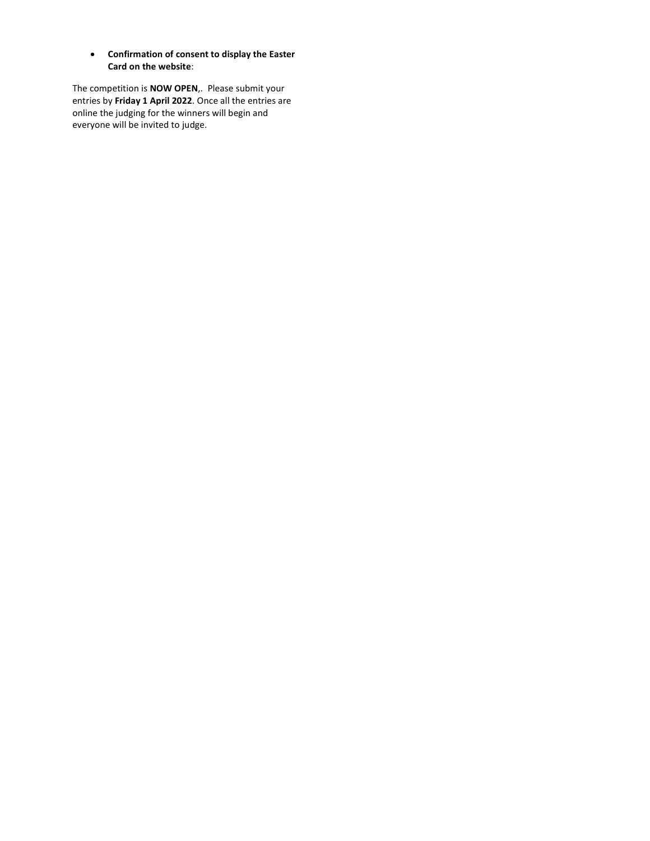Confirmation of consent to display the Easter Card on the website:

The competition is NOW OPEN,. Please submit your entries by Friday 1 April 2022. Once all the entries are online the judging for the winners will begin and everyone will be invited to judge.